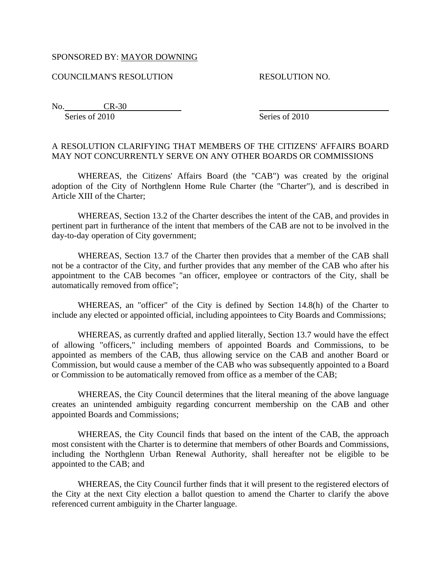## SPONSORED BY: MAYOR DOWNING

## COUNCILMAN'S RESOLUTION RESOLUTION NO.

No. CR-30 Series of 2010 Series of 2010

## A RESOLUTION CLARIFYING THAT MEMBERS OF THE CITIZENS' AFFAIRS BOARD MAY NOT CONCURRENTLY SERVE ON ANY OTHER BOARDS OR COMMISSIONS

 WHEREAS, the Citizens' Affairs Board (the "CAB") was created by the original adoption of the City of Northglenn Home Rule Charter (the "Charter"), and is described in Article XIII of the Charter;

 WHEREAS, Section 13.2 of the Charter describes the intent of the CAB, and provides in pertinent part in furtherance of the intent that members of the CAB are not to be involved in the day-to-day operation of City government;

 WHEREAS, Section 13.7 of the Charter then provides that a member of the CAB shall not be a contractor of the City, and further provides that any member of the CAB who after his appointment to the CAB becomes "an officer, employee or contractors of the City, shall be automatically removed from office";

 WHEREAS, an "officer" of the City is defined by Section 14.8(h) of the Charter to include any elected or appointed official, including appointees to City Boards and Commissions;

 WHEREAS, as currently drafted and applied literally, Section 13.7 would have the effect of allowing "officers," including members of appointed Boards and Commissions, to be appointed as members of the CAB, thus allowing service on the CAB and another Board or Commission, but would cause a member of the CAB who was subsequently appointed to a Board or Commission to be automatically removed from office as a member of the CAB;

 WHEREAS, the City Council determines that the literal meaning of the above language creates an unintended ambiguity regarding concurrent membership on the CAB and other appointed Boards and Commissions;

 WHEREAS, the City Council finds that based on the intent of the CAB, the approach most consistent with the Charter is to determine that members of other Boards and Commissions, including the Northglenn Urban Renewal Authority, shall hereafter not be eligible to be appointed to the CAB; and

 WHEREAS, the City Council further finds that it will present to the registered electors of the City at the next City election a ballot question to amend the Charter to clarify the above referenced current ambiguity in the Charter language.